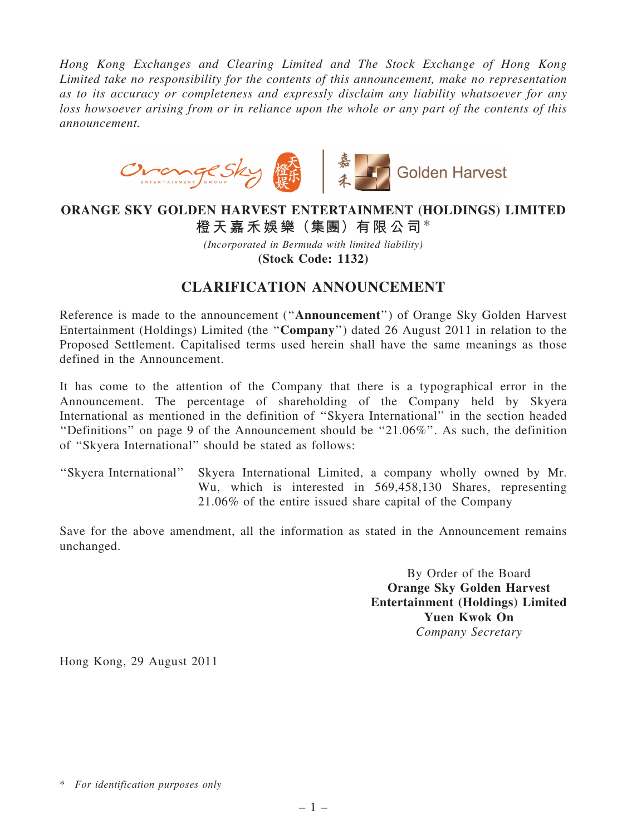*Hong Kong Exchanges and Clearing Limited and The Stock Exchange of Hong Kong Limited take no responsibility for the contents of this announcement, make no representation as to its accuracy or completeness and expressly disclaim any liability whatsoever for any loss howsoever arising from or in reliance upon the whole or any part of the contents of this announcement.*



## ORANGE SKY GOLDEN HARVEST ENTERTAINMENT (HOLDINGS) LIMITED 橙天嘉禾娛樂(集團)有限公司\*

*(Incorporated in Bermuda with limited liability)* (Stock Code: 1132)

## CLARIFICATION ANNOUNCEMENT

Reference is made to the announcement (''Announcement'') of Orange Sky Golden Harvest Entertainment (Holdings) Limited (the ''Company'') dated 26 August 2011 in relation to the Proposed Settlement. Capitalised terms used herein shall have the same meanings as those defined in the Announcement.

It has come to the attention of the Company that there is a typographical error in the Announcement. The percentage of shareholding of the Company held by Skyera International as mentioned in the definition of ''Skyera International'' in the section headed ''Definitions'' on page 9 of the Announcement should be ''21.06%''. As such, the definition of ''Skyera International'' should be stated as follows:

''Skyera International'' Skyera International Limited, a company wholly owned by Mr. Wu, which is interested in 569,458,130 Shares, representing 21.06% of the entire issued share capital of the Company

Save for the above amendment, all the information as stated in the Announcement remains unchanged.

> By Order of the Board Orange Sky Golden Harvest Entertainment (Holdings) Limited Yuen Kwok On *Company Secretary*

Hong Kong, 29 August 2011

<sup>\*</sup> *For identification purposes only*